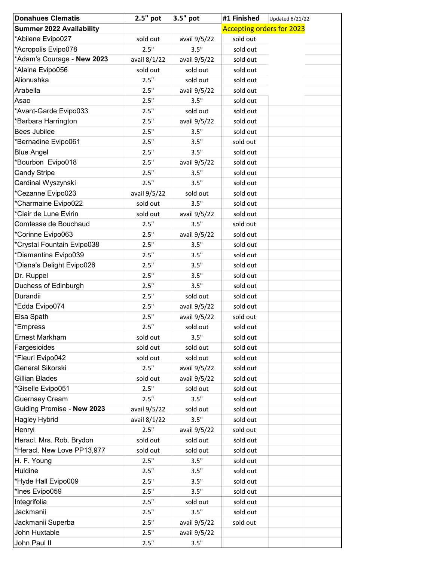| <b>Accepting orders for 2023</b><br><b>Summer 2022 Availability</b><br>*Abilene Evipo027<br>sold out<br>sold out<br>avail 9/5/22<br>*Acropolis Evipo078<br>2.5"<br>3.5"<br>sold out<br>*Adam's Courage - New 2023<br>avail 8/1/22<br>avail 9/5/22<br>sold out<br>*Alaina Evipo056<br>sold out<br>sold out<br>sold out<br>Alionushka<br>2.5"<br>sold out<br>sold out<br>Arabella<br>2.5"<br>avail 9/5/22<br>sold out<br>2.5"<br>3.5"<br>Asao<br>sold out<br>*Avant-Garde Evipo033<br>2.5"<br>sold out<br>sold out<br>*Barbara Harrington<br>2.5"<br>avail 9/5/22<br>sold out<br><b>Bees Jubilee</b><br>2.5"<br>3.5"<br>sold out<br>*Bernadine Evipo061<br>2.5"<br>3.5"<br>sold out<br>2.5"<br>3.5"<br><b>Blue Angel</b><br>sold out<br>*Bourbon Evipo018<br>2.5"<br>avail 9/5/22<br>sold out<br><b>Candy Stripe</b><br>3.5"<br>2.5"<br>sold out<br>Cardinal Wyszynski<br>2.5"<br>3.5"<br>sold out<br>*Cezanne Evipo023<br>avail 9/5/22<br>sold out<br>sold out<br>*Charmaine Evipo022<br>3.5"<br>sold out<br>sold out<br>*Clair de Lune Evirin<br>sold out<br>sold out<br>avail 9/5/22<br>Comtesse de Bouchaud<br>2.5"<br>3.5"<br>sold out<br>*Corinne Evipo063<br>2.5"<br>sold out<br>avail 9/5/22<br>*Crystal Fountain Evipo038<br>2.5"<br>3.5"<br>sold out<br>*Diamantina Evipo039<br>2.5"<br>3.5"<br>sold out<br>*Diana's Delight Evipo026<br>2.5"<br>3.5"<br>sold out<br>2.5"<br>3.5"<br>Dr. Ruppel<br>sold out<br>3.5"<br>Duchess of Edinburgh<br>2.5"<br>sold out<br>Durandii<br>2.5"<br>sold out<br>sold out<br>*Edda Evipo074<br>2.5"<br>avail 9/5/22<br>sold out<br>Elsa Spath<br>2.5"<br>avail 9/5/22<br>sold out<br>2.5"<br>*Empress<br>sold out<br>sold out<br>3.5"<br><b>Ernest Markham</b><br>sold out<br>sold out<br>Fargesioides<br>sold out<br>sold out<br>sold out<br>*Fleuri Evipo042<br>sold out<br>sold out<br>sold out<br>General Sikorski<br>2.5"<br>avail 9/5/22<br>sold out<br>Gillian Blades<br>sold out<br>avail 9/5/22<br>sold out<br>*Giselle Evipo051<br>2.5"<br>sold out<br>sold out<br><b>Guernsey Cream</b><br>3.5"<br>2.5"<br>sold out<br>Guiding Promise - New 2023<br>sold out<br>sold out<br>avail 9/5/22<br>3.5"<br>Hagley Hybrid<br>avail 8/1/22<br>sold out<br>2.5"<br>Henryi<br>avail 9/5/22<br>sold out<br>Heracl. Mrs. Rob. Brydon<br>sold out<br>sold out<br>sold out<br>*Heracl. New Love PP13,977<br>sold out<br>sold out<br>sold out<br>H. F. Young<br>2.5"<br>3.5"<br>sold out<br>Huldine<br>2.5"<br>3.5"<br>sold out<br>*Hyde Hall Evipo009<br>2.5"<br>3.5"<br>sold out<br>*Ines Evipo059<br>2.5"<br>3.5"<br>sold out<br>Integrifolia<br>2.5"<br>sold out<br>sold out<br>Jackmanii<br>2.5"<br>3.5"<br>sold out<br>Jackmanii Superba<br>2.5"<br>avail 9/5/22<br>sold out<br>John Huxtable<br>2.5"<br>avail 9/5/22<br>John Paul II<br>3.5"<br>2.5" | <b>Donahues Clematis</b> | $2.5"$ pot | 3.5" pot | #1 Finished | <b>Updated 6/21/22</b> |  |  |
|---------------------------------------------------------------------------------------------------------------------------------------------------------------------------------------------------------------------------------------------------------------------------------------------------------------------------------------------------------------------------------------------------------------------------------------------------------------------------------------------------------------------------------------------------------------------------------------------------------------------------------------------------------------------------------------------------------------------------------------------------------------------------------------------------------------------------------------------------------------------------------------------------------------------------------------------------------------------------------------------------------------------------------------------------------------------------------------------------------------------------------------------------------------------------------------------------------------------------------------------------------------------------------------------------------------------------------------------------------------------------------------------------------------------------------------------------------------------------------------------------------------------------------------------------------------------------------------------------------------------------------------------------------------------------------------------------------------------------------------------------------------------------------------------------------------------------------------------------------------------------------------------------------------------------------------------------------------------------------------------------------------------------------------------------------------------------------------------------------------------------------------------------------------------------------------------------------------------------------------------------------------------------------------------------------------------------------------------------------------------------------------------------------------------------------------------------------------------------------------------------------------------------------------------------------------------------------------------------------------------------------------------------------------------------------------------------------------------------------------------------------------------------------------------------|--------------------------|------------|----------|-------------|------------------------|--|--|
|                                                                                                                                                                                                                                                                                                                                                                                                                                                                                                                                                                                                                                                                                                                                                                                                                                                                                                                                                                                                                                                                                                                                                                                                                                                                                                                                                                                                                                                                                                                                                                                                                                                                                                                                                                                                                                                                                                                                                                                                                                                                                                                                                                                                                                                                                                                                                                                                                                                                                                                                                                                                                                                                                                                                                                                                   |                          |            |          |             |                        |  |  |
|                                                                                                                                                                                                                                                                                                                                                                                                                                                                                                                                                                                                                                                                                                                                                                                                                                                                                                                                                                                                                                                                                                                                                                                                                                                                                                                                                                                                                                                                                                                                                                                                                                                                                                                                                                                                                                                                                                                                                                                                                                                                                                                                                                                                                                                                                                                                                                                                                                                                                                                                                                                                                                                                                                                                                                                                   |                          |            |          |             |                        |  |  |
|                                                                                                                                                                                                                                                                                                                                                                                                                                                                                                                                                                                                                                                                                                                                                                                                                                                                                                                                                                                                                                                                                                                                                                                                                                                                                                                                                                                                                                                                                                                                                                                                                                                                                                                                                                                                                                                                                                                                                                                                                                                                                                                                                                                                                                                                                                                                                                                                                                                                                                                                                                                                                                                                                                                                                                                                   |                          |            |          |             |                        |  |  |
|                                                                                                                                                                                                                                                                                                                                                                                                                                                                                                                                                                                                                                                                                                                                                                                                                                                                                                                                                                                                                                                                                                                                                                                                                                                                                                                                                                                                                                                                                                                                                                                                                                                                                                                                                                                                                                                                                                                                                                                                                                                                                                                                                                                                                                                                                                                                                                                                                                                                                                                                                                                                                                                                                                                                                                                                   |                          |            |          |             |                        |  |  |
|                                                                                                                                                                                                                                                                                                                                                                                                                                                                                                                                                                                                                                                                                                                                                                                                                                                                                                                                                                                                                                                                                                                                                                                                                                                                                                                                                                                                                                                                                                                                                                                                                                                                                                                                                                                                                                                                                                                                                                                                                                                                                                                                                                                                                                                                                                                                                                                                                                                                                                                                                                                                                                                                                                                                                                                                   |                          |            |          |             |                        |  |  |
|                                                                                                                                                                                                                                                                                                                                                                                                                                                                                                                                                                                                                                                                                                                                                                                                                                                                                                                                                                                                                                                                                                                                                                                                                                                                                                                                                                                                                                                                                                                                                                                                                                                                                                                                                                                                                                                                                                                                                                                                                                                                                                                                                                                                                                                                                                                                                                                                                                                                                                                                                                                                                                                                                                                                                                                                   |                          |            |          |             |                        |  |  |
|                                                                                                                                                                                                                                                                                                                                                                                                                                                                                                                                                                                                                                                                                                                                                                                                                                                                                                                                                                                                                                                                                                                                                                                                                                                                                                                                                                                                                                                                                                                                                                                                                                                                                                                                                                                                                                                                                                                                                                                                                                                                                                                                                                                                                                                                                                                                                                                                                                                                                                                                                                                                                                                                                                                                                                                                   |                          |            |          |             |                        |  |  |
|                                                                                                                                                                                                                                                                                                                                                                                                                                                                                                                                                                                                                                                                                                                                                                                                                                                                                                                                                                                                                                                                                                                                                                                                                                                                                                                                                                                                                                                                                                                                                                                                                                                                                                                                                                                                                                                                                                                                                                                                                                                                                                                                                                                                                                                                                                                                                                                                                                                                                                                                                                                                                                                                                                                                                                                                   |                          |            |          |             |                        |  |  |
|                                                                                                                                                                                                                                                                                                                                                                                                                                                                                                                                                                                                                                                                                                                                                                                                                                                                                                                                                                                                                                                                                                                                                                                                                                                                                                                                                                                                                                                                                                                                                                                                                                                                                                                                                                                                                                                                                                                                                                                                                                                                                                                                                                                                                                                                                                                                                                                                                                                                                                                                                                                                                                                                                                                                                                                                   |                          |            |          |             |                        |  |  |
|                                                                                                                                                                                                                                                                                                                                                                                                                                                                                                                                                                                                                                                                                                                                                                                                                                                                                                                                                                                                                                                                                                                                                                                                                                                                                                                                                                                                                                                                                                                                                                                                                                                                                                                                                                                                                                                                                                                                                                                                                                                                                                                                                                                                                                                                                                                                                                                                                                                                                                                                                                                                                                                                                                                                                                                                   |                          |            |          |             |                        |  |  |
|                                                                                                                                                                                                                                                                                                                                                                                                                                                                                                                                                                                                                                                                                                                                                                                                                                                                                                                                                                                                                                                                                                                                                                                                                                                                                                                                                                                                                                                                                                                                                                                                                                                                                                                                                                                                                                                                                                                                                                                                                                                                                                                                                                                                                                                                                                                                                                                                                                                                                                                                                                                                                                                                                                                                                                                                   |                          |            |          |             |                        |  |  |
|                                                                                                                                                                                                                                                                                                                                                                                                                                                                                                                                                                                                                                                                                                                                                                                                                                                                                                                                                                                                                                                                                                                                                                                                                                                                                                                                                                                                                                                                                                                                                                                                                                                                                                                                                                                                                                                                                                                                                                                                                                                                                                                                                                                                                                                                                                                                                                                                                                                                                                                                                                                                                                                                                                                                                                                                   |                          |            |          |             |                        |  |  |
|                                                                                                                                                                                                                                                                                                                                                                                                                                                                                                                                                                                                                                                                                                                                                                                                                                                                                                                                                                                                                                                                                                                                                                                                                                                                                                                                                                                                                                                                                                                                                                                                                                                                                                                                                                                                                                                                                                                                                                                                                                                                                                                                                                                                                                                                                                                                                                                                                                                                                                                                                                                                                                                                                                                                                                                                   |                          |            |          |             |                        |  |  |
|                                                                                                                                                                                                                                                                                                                                                                                                                                                                                                                                                                                                                                                                                                                                                                                                                                                                                                                                                                                                                                                                                                                                                                                                                                                                                                                                                                                                                                                                                                                                                                                                                                                                                                                                                                                                                                                                                                                                                                                                                                                                                                                                                                                                                                                                                                                                                                                                                                                                                                                                                                                                                                                                                                                                                                                                   |                          |            |          |             |                        |  |  |
|                                                                                                                                                                                                                                                                                                                                                                                                                                                                                                                                                                                                                                                                                                                                                                                                                                                                                                                                                                                                                                                                                                                                                                                                                                                                                                                                                                                                                                                                                                                                                                                                                                                                                                                                                                                                                                                                                                                                                                                                                                                                                                                                                                                                                                                                                                                                                                                                                                                                                                                                                                                                                                                                                                                                                                                                   |                          |            |          |             |                        |  |  |
|                                                                                                                                                                                                                                                                                                                                                                                                                                                                                                                                                                                                                                                                                                                                                                                                                                                                                                                                                                                                                                                                                                                                                                                                                                                                                                                                                                                                                                                                                                                                                                                                                                                                                                                                                                                                                                                                                                                                                                                                                                                                                                                                                                                                                                                                                                                                                                                                                                                                                                                                                                                                                                                                                                                                                                                                   |                          |            |          |             |                        |  |  |
|                                                                                                                                                                                                                                                                                                                                                                                                                                                                                                                                                                                                                                                                                                                                                                                                                                                                                                                                                                                                                                                                                                                                                                                                                                                                                                                                                                                                                                                                                                                                                                                                                                                                                                                                                                                                                                                                                                                                                                                                                                                                                                                                                                                                                                                                                                                                                                                                                                                                                                                                                                                                                                                                                                                                                                                                   |                          |            |          |             |                        |  |  |
|                                                                                                                                                                                                                                                                                                                                                                                                                                                                                                                                                                                                                                                                                                                                                                                                                                                                                                                                                                                                                                                                                                                                                                                                                                                                                                                                                                                                                                                                                                                                                                                                                                                                                                                                                                                                                                                                                                                                                                                                                                                                                                                                                                                                                                                                                                                                                                                                                                                                                                                                                                                                                                                                                                                                                                                                   |                          |            |          |             |                        |  |  |
|                                                                                                                                                                                                                                                                                                                                                                                                                                                                                                                                                                                                                                                                                                                                                                                                                                                                                                                                                                                                                                                                                                                                                                                                                                                                                                                                                                                                                                                                                                                                                                                                                                                                                                                                                                                                                                                                                                                                                                                                                                                                                                                                                                                                                                                                                                                                                                                                                                                                                                                                                                                                                                                                                                                                                                                                   |                          |            |          |             |                        |  |  |
|                                                                                                                                                                                                                                                                                                                                                                                                                                                                                                                                                                                                                                                                                                                                                                                                                                                                                                                                                                                                                                                                                                                                                                                                                                                                                                                                                                                                                                                                                                                                                                                                                                                                                                                                                                                                                                                                                                                                                                                                                                                                                                                                                                                                                                                                                                                                                                                                                                                                                                                                                                                                                                                                                                                                                                                                   |                          |            |          |             |                        |  |  |
|                                                                                                                                                                                                                                                                                                                                                                                                                                                                                                                                                                                                                                                                                                                                                                                                                                                                                                                                                                                                                                                                                                                                                                                                                                                                                                                                                                                                                                                                                                                                                                                                                                                                                                                                                                                                                                                                                                                                                                                                                                                                                                                                                                                                                                                                                                                                                                                                                                                                                                                                                                                                                                                                                                                                                                                                   |                          |            |          |             |                        |  |  |
|                                                                                                                                                                                                                                                                                                                                                                                                                                                                                                                                                                                                                                                                                                                                                                                                                                                                                                                                                                                                                                                                                                                                                                                                                                                                                                                                                                                                                                                                                                                                                                                                                                                                                                                                                                                                                                                                                                                                                                                                                                                                                                                                                                                                                                                                                                                                                                                                                                                                                                                                                                                                                                                                                                                                                                                                   |                          |            |          |             |                        |  |  |
|                                                                                                                                                                                                                                                                                                                                                                                                                                                                                                                                                                                                                                                                                                                                                                                                                                                                                                                                                                                                                                                                                                                                                                                                                                                                                                                                                                                                                                                                                                                                                                                                                                                                                                                                                                                                                                                                                                                                                                                                                                                                                                                                                                                                                                                                                                                                                                                                                                                                                                                                                                                                                                                                                                                                                                                                   |                          |            |          |             |                        |  |  |
|                                                                                                                                                                                                                                                                                                                                                                                                                                                                                                                                                                                                                                                                                                                                                                                                                                                                                                                                                                                                                                                                                                                                                                                                                                                                                                                                                                                                                                                                                                                                                                                                                                                                                                                                                                                                                                                                                                                                                                                                                                                                                                                                                                                                                                                                                                                                                                                                                                                                                                                                                                                                                                                                                                                                                                                                   |                          |            |          |             |                        |  |  |
|                                                                                                                                                                                                                                                                                                                                                                                                                                                                                                                                                                                                                                                                                                                                                                                                                                                                                                                                                                                                                                                                                                                                                                                                                                                                                                                                                                                                                                                                                                                                                                                                                                                                                                                                                                                                                                                                                                                                                                                                                                                                                                                                                                                                                                                                                                                                                                                                                                                                                                                                                                                                                                                                                                                                                                                                   |                          |            |          |             |                        |  |  |
|                                                                                                                                                                                                                                                                                                                                                                                                                                                                                                                                                                                                                                                                                                                                                                                                                                                                                                                                                                                                                                                                                                                                                                                                                                                                                                                                                                                                                                                                                                                                                                                                                                                                                                                                                                                                                                                                                                                                                                                                                                                                                                                                                                                                                                                                                                                                                                                                                                                                                                                                                                                                                                                                                                                                                                                                   |                          |            |          |             |                        |  |  |
|                                                                                                                                                                                                                                                                                                                                                                                                                                                                                                                                                                                                                                                                                                                                                                                                                                                                                                                                                                                                                                                                                                                                                                                                                                                                                                                                                                                                                                                                                                                                                                                                                                                                                                                                                                                                                                                                                                                                                                                                                                                                                                                                                                                                                                                                                                                                                                                                                                                                                                                                                                                                                                                                                                                                                                                                   |                          |            |          |             |                        |  |  |
|                                                                                                                                                                                                                                                                                                                                                                                                                                                                                                                                                                                                                                                                                                                                                                                                                                                                                                                                                                                                                                                                                                                                                                                                                                                                                                                                                                                                                                                                                                                                                                                                                                                                                                                                                                                                                                                                                                                                                                                                                                                                                                                                                                                                                                                                                                                                                                                                                                                                                                                                                                                                                                                                                                                                                                                                   |                          |            |          |             |                        |  |  |
|                                                                                                                                                                                                                                                                                                                                                                                                                                                                                                                                                                                                                                                                                                                                                                                                                                                                                                                                                                                                                                                                                                                                                                                                                                                                                                                                                                                                                                                                                                                                                                                                                                                                                                                                                                                                                                                                                                                                                                                                                                                                                                                                                                                                                                                                                                                                                                                                                                                                                                                                                                                                                                                                                                                                                                                                   |                          |            |          |             |                        |  |  |
|                                                                                                                                                                                                                                                                                                                                                                                                                                                                                                                                                                                                                                                                                                                                                                                                                                                                                                                                                                                                                                                                                                                                                                                                                                                                                                                                                                                                                                                                                                                                                                                                                                                                                                                                                                                                                                                                                                                                                                                                                                                                                                                                                                                                                                                                                                                                                                                                                                                                                                                                                                                                                                                                                                                                                                                                   |                          |            |          |             |                        |  |  |
|                                                                                                                                                                                                                                                                                                                                                                                                                                                                                                                                                                                                                                                                                                                                                                                                                                                                                                                                                                                                                                                                                                                                                                                                                                                                                                                                                                                                                                                                                                                                                                                                                                                                                                                                                                                                                                                                                                                                                                                                                                                                                                                                                                                                                                                                                                                                                                                                                                                                                                                                                                                                                                                                                                                                                                                                   |                          |            |          |             |                        |  |  |
|                                                                                                                                                                                                                                                                                                                                                                                                                                                                                                                                                                                                                                                                                                                                                                                                                                                                                                                                                                                                                                                                                                                                                                                                                                                                                                                                                                                                                                                                                                                                                                                                                                                                                                                                                                                                                                                                                                                                                                                                                                                                                                                                                                                                                                                                                                                                                                                                                                                                                                                                                                                                                                                                                                                                                                                                   |                          |            |          |             |                        |  |  |
|                                                                                                                                                                                                                                                                                                                                                                                                                                                                                                                                                                                                                                                                                                                                                                                                                                                                                                                                                                                                                                                                                                                                                                                                                                                                                                                                                                                                                                                                                                                                                                                                                                                                                                                                                                                                                                                                                                                                                                                                                                                                                                                                                                                                                                                                                                                                                                                                                                                                                                                                                                                                                                                                                                                                                                                                   |                          |            |          |             |                        |  |  |
|                                                                                                                                                                                                                                                                                                                                                                                                                                                                                                                                                                                                                                                                                                                                                                                                                                                                                                                                                                                                                                                                                                                                                                                                                                                                                                                                                                                                                                                                                                                                                                                                                                                                                                                                                                                                                                                                                                                                                                                                                                                                                                                                                                                                                                                                                                                                                                                                                                                                                                                                                                                                                                                                                                                                                                                                   |                          |            |          |             |                        |  |  |
|                                                                                                                                                                                                                                                                                                                                                                                                                                                                                                                                                                                                                                                                                                                                                                                                                                                                                                                                                                                                                                                                                                                                                                                                                                                                                                                                                                                                                                                                                                                                                                                                                                                                                                                                                                                                                                                                                                                                                                                                                                                                                                                                                                                                                                                                                                                                                                                                                                                                                                                                                                                                                                                                                                                                                                                                   |                          |            |          |             |                        |  |  |
|                                                                                                                                                                                                                                                                                                                                                                                                                                                                                                                                                                                                                                                                                                                                                                                                                                                                                                                                                                                                                                                                                                                                                                                                                                                                                                                                                                                                                                                                                                                                                                                                                                                                                                                                                                                                                                                                                                                                                                                                                                                                                                                                                                                                                                                                                                                                                                                                                                                                                                                                                                                                                                                                                                                                                                                                   |                          |            |          |             |                        |  |  |
|                                                                                                                                                                                                                                                                                                                                                                                                                                                                                                                                                                                                                                                                                                                                                                                                                                                                                                                                                                                                                                                                                                                                                                                                                                                                                                                                                                                                                                                                                                                                                                                                                                                                                                                                                                                                                                                                                                                                                                                                                                                                                                                                                                                                                                                                                                                                                                                                                                                                                                                                                                                                                                                                                                                                                                                                   |                          |            |          |             |                        |  |  |
|                                                                                                                                                                                                                                                                                                                                                                                                                                                                                                                                                                                                                                                                                                                                                                                                                                                                                                                                                                                                                                                                                                                                                                                                                                                                                                                                                                                                                                                                                                                                                                                                                                                                                                                                                                                                                                                                                                                                                                                                                                                                                                                                                                                                                                                                                                                                                                                                                                                                                                                                                                                                                                                                                                                                                                                                   |                          |            |          |             |                        |  |  |
|                                                                                                                                                                                                                                                                                                                                                                                                                                                                                                                                                                                                                                                                                                                                                                                                                                                                                                                                                                                                                                                                                                                                                                                                                                                                                                                                                                                                                                                                                                                                                                                                                                                                                                                                                                                                                                                                                                                                                                                                                                                                                                                                                                                                                                                                                                                                                                                                                                                                                                                                                                                                                                                                                                                                                                                                   |                          |            |          |             |                        |  |  |
|                                                                                                                                                                                                                                                                                                                                                                                                                                                                                                                                                                                                                                                                                                                                                                                                                                                                                                                                                                                                                                                                                                                                                                                                                                                                                                                                                                                                                                                                                                                                                                                                                                                                                                                                                                                                                                                                                                                                                                                                                                                                                                                                                                                                                                                                                                                                                                                                                                                                                                                                                                                                                                                                                                                                                                                                   |                          |            |          |             |                        |  |  |
|                                                                                                                                                                                                                                                                                                                                                                                                                                                                                                                                                                                                                                                                                                                                                                                                                                                                                                                                                                                                                                                                                                                                                                                                                                                                                                                                                                                                                                                                                                                                                                                                                                                                                                                                                                                                                                                                                                                                                                                                                                                                                                                                                                                                                                                                                                                                                                                                                                                                                                                                                                                                                                                                                                                                                                                                   |                          |            |          |             |                        |  |  |
|                                                                                                                                                                                                                                                                                                                                                                                                                                                                                                                                                                                                                                                                                                                                                                                                                                                                                                                                                                                                                                                                                                                                                                                                                                                                                                                                                                                                                                                                                                                                                                                                                                                                                                                                                                                                                                                                                                                                                                                                                                                                                                                                                                                                                                                                                                                                                                                                                                                                                                                                                                                                                                                                                                                                                                                                   |                          |            |          |             |                        |  |  |
|                                                                                                                                                                                                                                                                                                                                                                                                                                                                                                                                                                                                                                                                                                                                                                                                                                                                                                                                                                                                                                                                                                                                                                                                                                                                                                                                                                                                                                                                                                                                                                                                                                                                                                                                                                                                                                                                                                                                                                                                                                                                                                                                                                                                                                                                                                                                                                                                                                                                                                                                                                                                                                                                                                                                                                                                   |                          |            |          |             |                        |  |  |
|                                                                                                                                                                                                                                                                                                                                                                                                                                                                                                                                                                                                                                                                                                                                                                                                                                                                                                                                                                                                                                                                                                                                                                                                                                                                                                                                                                                                                                                                                                                                                                                                                                                                                                                                                                                                                                                                                                                                                                                                                                                                                                                                                                                                                                                                                                                                                                                                                                                                                                                                                                                                                                                                                                                                                                                                   |                          |            |          |             |                        |  |  |
|                                                                                                                                                                                                                                                                                                                                                                                                                                                                                                                                                                                                                                                                                                                                                                                                                                                                                                                                                                                                                                                                                                                                                                                                                                                                                                                                                                                                                                                                                                                                                                                                                                                                                                                                                                                                                                                                                                                                                                                                                                                                                                                                                                                                                                                                                                                                                                                                                                                                                                                                                                                                                                                                                                                                                                                                   |                          |            |          |             |                        |  |  |
|                                                                                                                                                                                                                                                                                                                                                                                                                                                                                                                                                                                                                                                                                                                                                                                                                                                                                                                                                                                                                                                                                                                                                                                                                                                                                                                                                                                                                                                                                                                                                                                                                                                                                                                                                                                                                                                                                                                                                                                                                                                                                                                                                                                                                                                                                                                                                                                                                                                                                                                                                                                                                                                                                                                                                                                                   |                          |            |          |             |                        |  |  |
|                                                                                                                                                                                                                                                                                                                                                                                                                                                                                                                                                                                                                                                                                                                                                                                                                                                                                                                                                                                                                                                                                                                                                                                                                                                                                                                                                                                                                                                                                                                                                                                                                                                                                                                                                                                                                                                                                                                                                                                                                                                                                                                                                                                                                                                                                                                                                                                                                                                                                                                                                                                                                                                                                                                                                                                                   |                          |            |          |             |                        |  |  |
|                                                                                                                                                                                                                                                                                                                                                                                                                                                                                                                                                                                                                                                                                                                                                                                                                                                                                                                                                                                                                                                                                                                                                                                                                                                                                                                                                                                                                                                                                                                                                                                                                                                                                                                                                                                                                                                                                                                                                                                                                                                                                                                                                                                                                                                                                                                                                                                                                                                                                                                                                                                                                                                                                                                                                                                                   |                          |            |          |             |                        |  |  |
|                                                                                                                                                                                                                                                                                                                                                                                                                                                                                                                                                                                                                                                                                                                                                                                                                                                                                                                                                                                                                                                                                                                                                                                                                                                                                                                                                                                                                                                                                                                                                                                                                                                                                                                                                                                                                                                                                                                                                                                                                                                                                                                                                                                                                                                                                                                                                                                                                                                                                                                                                                                                                                                                                                                                                                                                   |                          |            |          |             |                        |  |  |
|                                                                                                                                                                                                                                                                                                                                                                                                                                                                                                                                                                                                                                                                                                                                                                                                                                                                                                                                                                                                                                                                                                                                                                                                                                                                                                                                                                                                                                                                                                                                                                                                                                                                                                                                                                                                                                                                                                                                                                                                                                                                                                                                                                                                                                                                                                                                                                                                                                                                                                                                                                                                                                                                                                                                                                                                   |                          |            |          |             |                        |  |  |
|                                                                                                                                                                                                                                                                                                                                                                                                                                                                                                                                                                                                                                                                                                                                                                                                                                                                                                                                                                                                                                                                                                                                                                                                                                                                                                                                                                                                                                                                                                                                                                                                                                                                                                                                                                                                                                                                                                                                                                                                                                                                                                                                                                                                                                                                                                                                                                                                                                                                                                                                                                                                                                                                                                                                                                                                   |                          |            |          |             |                        |  |  |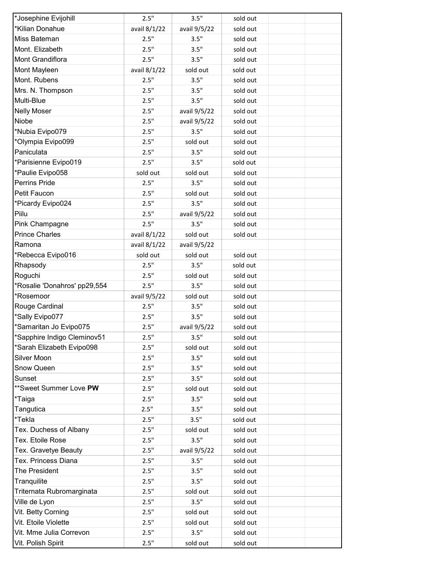| *Josephine Evijohill         | 2.5"         | 3.5"         | sold out |  |
|------------------------------|--------------|--------------|----------|--|
| *Kilian Donahue              | avail 8/1/22 | avail 9/5/22 | sold out |  |
| Miss Bateman                 | 2.5"         | 3.5"         | sold out |  |
| Mont. Elizabeth              | 2.5"         | 3.5"         | sold out |  |
| Mont Grandiflora             | 2.5"         | 3.5"         | sold out |  |
| Mont Mayleen                 | avail 8/1/22 | sold out     | sold out |  |
| Mont. Rubens                 | 2.5"         | 3.5"         | sold out |  |
| Mrs. N. Thompson             | 2.5"         | 3.5"         | sold out |  |
| Multi-Blue                   | 2.5"         | 3.5"         | sold out |  |
| <b>Nelly Moser</b>           | 2.5"         | avail 9/5/22 | sold out |  |
| Niobe                        | 2.5"         | avail 9/5/22 | sold out |  |
| *Nubia Evipo079              | 2.5"         | 3.5"         | sold out |  |
| *Olympia Evipo099            | 2.5"         | sold out     | sold out |  |
| Paniculata                   | 2.5"         | 3.5"         | sold out |  |
| *Parisienne Evipo019         | 2.5"         | 3.5"         | sold out |  |
| *Paulie Evipo058             | sold out     | sold out     | sold out |  |
| Perrins Pride                | 2.5"         | 3.5"         | sold out |  |
| Petit Faucon                 | 2.5"         | sold out     | sold out |  |
| *Picardy Evipo024            | 2.5"         | 3.5"         | sold out |  |
| Piilu                        | 2.5"         | avail 9/5/22 | sold out |  |
| Pink Champagne               | 2.5"         | 3.5"         | sold out |  |
| <b>Prince Charles</b>        | avail 8/1/22 | sold out     | sold out |  |
| Ramona                       | avail 8/1/22 | avail 9/5/22 |          |  |
| *Rebecca Evipo016            | sold out     | sold out     | sold out |  |
| Rhapsody                     | 2.5"         | 3.5"         | sold out |  |
| Roguchi                      | 2.5"         | sold out     | sold out |  |
| *Rosalie 'Donahros' pp29,554 | 2.5"         | 3.5"         | sold out |  |
| *Rosemoor                    | avail 9/5/22 | sold out     | sold out |  |
| Rouge Cardinal               | 2.5"         | 3.5"         | sold out |  |
| *Sally Evipo077              | 2.5"         | 3.5"         | sold out |  |
| *Samaritan Jo Evipo075       | 2.5"         | avail 9/5/22 | sold out |  |
| *Sapphire Indigo Cleminov51  | 2.5"         | 3.5"         | sold out |  |
| *Sarah Elizabeth Evipo098    | 2.5"         | sold out     | sold out |  |
| Silver Moon                  | 2.5"         | 3.5"         | sold out |  |
| Snow Queen                   | 2.5"         | 3.5"         | sold out |  |
| Sunset                       | 2.5"         | 3.5"         | sold out |  |
| **Sweet Summer Love PW       | 2.5"         | sold out     | sold out |  |
| *Taiga                       | 2.5"         | 3.5"         | sold out |  |
| Tangutica                    | 2.5"         | 3.5"         | sold out |  |
| *Tekla                       | 2.5"         | 3.5"         | sold out |  |
| Tex. Duchess of Albany       | 2.5"         | sold out     | sold out |  |
| Tex. Etoile Rose             | 2.5"         | 3.5"         | sold out |  |
| Tex. Gravetye Beauty         | 2.5"         | avail 9/5/22 | sold out |  |
| Tex. Princess Diana          | 2.5"         | 3.5"         | sold out |  |
| The President                | 2.5"         | 3.5"         | sold out |  |
| Tranquilite                  | 2.5"         | 3.5"         | sold out |  |
| Triternata Rubromarginata    | 2.5"         | sold out     | sold out |  |
| Ville de Lyon                | 2.5"         | 3.5"         | sold out |  |
| Vit. Betty Corning           | 2.5"         | sold out     | sold out |  |
| Vit. Etoile Violette         | 2.5"         | sold out     | sold out |  |
| Vit. Mme Julia Correvon      | 2.5"         | 3.5"         | sold out |  |
| Vit. Polish Spirit           | 2.5"         | sold out     | sold out |  |
|                              |              |              |          |  |